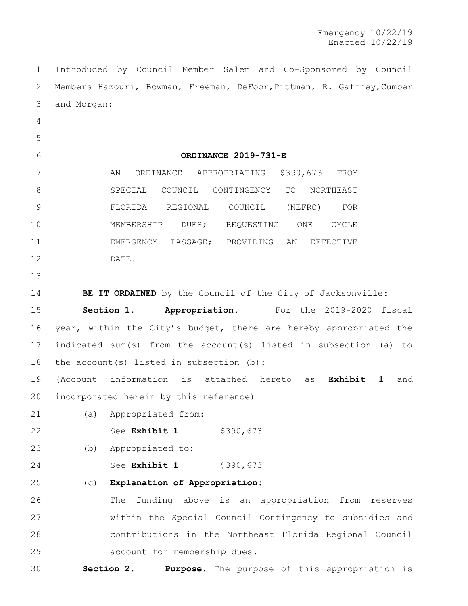Introduced by Council Member Salem and Co-Sponsored by Council Members Hazouri, Bowman, Freeman, DeFoor,Pittman, R. Gaffney,Cumber and Morgan:

 

## **ORDINANCE 2019-731-E**

| ⇁  | AN        |            | ORDINANCE |       | APPROPRIATING | \$390,673 |         | FROM         |
|----|-----------|------------|-----------|-------|---------------|-----------|---------|--------------|
| 8  | SPECIAL   |            | COUNCIL   |       | CONTINGENCY   | TO        |         | NORTHEAST    |
| 9  | FLORIDA   |            | REGIONAL  |       | COUNCIL       |           | (NEFRC) | <b>FOR</b>   |
| 10 |           | MEMBERSHIP |           | DUES; | REQUESTING    |           | ONE     | <b>CYCLE</b> |
| 11 | EMERGENCY |            | PASSAGE:  |       | PROVIDING     | ΆN        |         | EFFECTIVE    |
| 12 | DATE.     |            |           |       |               |           |         |              |

**BE IT ORDAINED** by the Council of the City of Jacksonville:

 **Section 1. Appropriation.** For the 2019-2020 fiscal 16 year, within the City's budget, there are hereby appropriated the indicated sum(s) from the account(s) listed in subsection (a) to 18 the account (s) listed in subsection (b):

 (Account information is attached hereto as **Exhibit 1** and 20 incorporated herein by this reference)

(a) Appropriated from:

22 See **Exhibit 1** \$390,673

(b) Appropriated to:

24 See **Exhibit 1** \$390,673

(c) **Explanation of Appropriation:**

26 The funding above is an appropriation from reserves within the Special Council Contingency to subsidies and contributions in the Northeast Florida Regional Council 29 account for membership dues.

**Section 2. Purpose.** The purpose of this appropriation is